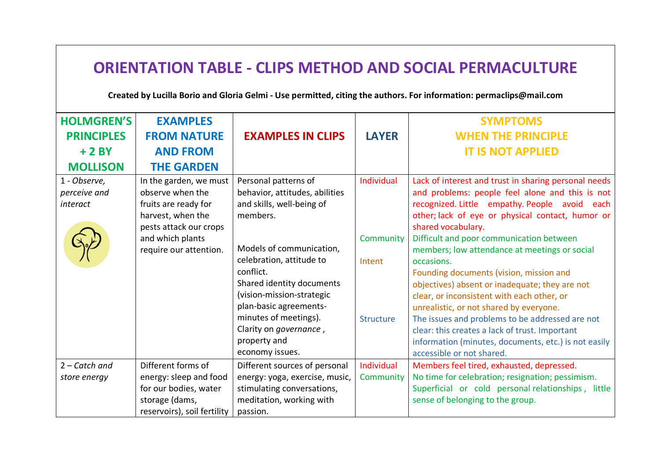| <b>ORIENTATION TABLE - CLIPS METHOD AND SOCIAL PERMACULTURE</b><br>Created by Lucilla Borio and Gloria Gelmi - Use permitted, citing the authors. For information: permaclips@mail.com |                                                                                                                                                                 |                                                                                                                                                                                                                                                                                                                                                |                                                       |                                                                                                                                                                                                                                                                                                                                                                                                                                                                                                                                                                                                                                                                                                                               |  |  |
|----------------------------------------------------------------------------------------------------------------------------------------------------------------------------------------|-----------------------------------------------------------------------------------------------------------------------------------------------------------------|------------------------------------------------------------------------------------------------------------------------------------------------------------------------------------------------------------------------------------------------------------------------------------------------------------------------------------------------|-------------------------------------------------------|-------------------------------------------------------------------------------------------------------------------------------------------------------------------------------------------------------------------------------------------------------------------------------------------------------------------------------------------------------------------------------------------------------------------------------------------------------------------------------------------------------------------------------------------------------------------------------------------------------------------------------------------------------------------------------------------------------------------------------|--|--|
| <b>HOLMGREN'S</b><br><b>PRINCIPLES</b><br>$+2BY$<br><b>MOLLISON</b>                                                                                                                    | <b>EXAMPLES</b><br><b>FROM NATURE</b><br><b>AND FROM</b><br><b>THE GARDEN</b>                                                                                   | <b>EXAMPLES IN CLIPS</b>                                                                                                                                                                                                                                                                                                                       | <b>LAYER</b>                                          | <b>SYMPTOMS</b><br><b>WHEN THE PRINCIPLE</b><br><b>IT IS NOT APPLIED</b>                                                                                                                                                                                                                                                                                                                                                                                                                                                                                                                                                                                                                                                      |  |  |
| 1 - Observe,<br>perceive and<br>interact                                                                                                                                               | In the garden, we must<br>observe when the<br>fruits are ready for<br>harvest, when the<br>pests attack our crops<br>and which plants<br>require our attention. | Personal patterns of<br>behavior, attitudes, abilities<br>and skills, well-being of<br>members.<br>Models of communication,<br>celebration, attitude to<br>conflict.<br>Shared identity documents<br>(vision-mission-strategic<br>plan-basic agreements-<br>minutes of meetings).<br>Clarity on governance,<br>property and<br>economy issues. | Individual<br>Community<br>Intent<br><b>Structure</b> | Lack of interest and trust in sharing personal needs<br>and problems: people feel alone and this is not<br>recognized. Little empathy. People avoid each<br>other; lack of eye or physical contact, humor or<br>shared vocabulary.<br>Difficult and poor communication between<br>members; low attendance at meetings or social<br>occasions.<br>Founding documents (vision, mission and<br>objectives) absent or inadequate; they are not<br>clear, or inconsistent with each other, or<br>unrealistic, or not shared by everyone.<br>The issues and problems to be addressed are not<br>clear: this creates a lack of trust. Important<br>information (minutes, documents, etc.) is not easily<br>accessible or not shared. |  |  |
| $2 - \text{Cat}ch$ and<br>store energy                                                                                                                                                 | Different forms of<br>energy: sleep and food<br>for our bodies, water<br>storage (dams,<br>reservoirs), soil fertility                                          | Different sources of personal<br>energy: yoga, exercise, music,<br>stimulating conversations,<br>meditation, working with<br>passion.                                                                                                                                                                                                          | Individual<br>Community                               | Members feel tired, exhausted, depressed.<br>No time for celebration; resignation; pessimism.<br>Superficial or cold personal relationships, little<br>sense of belonging to the group.                                                                                                                                                                                                                                                                                                                                                                                                                                                                                                                                       |  |  |

 $\Gamma$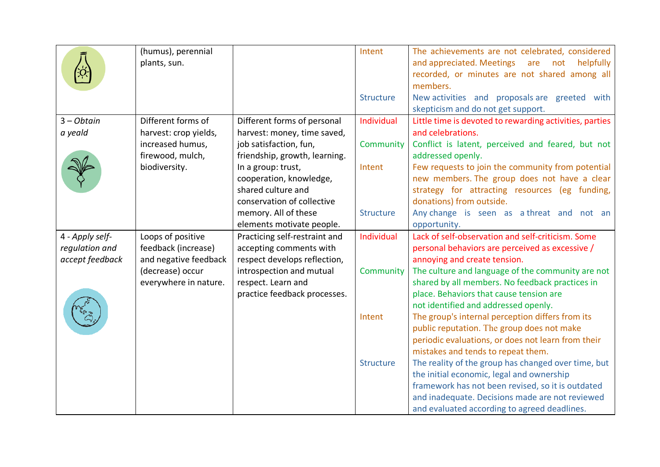|                 | (humus), perennial    |                               | Intent           | The achievements are not celebrated, considered         |
|-----------------|-----------------------|-------------------------------|------------------|---------------------------------------------------------|
|                 | plants, sun.          |                               |                  | and appreciated. Meetings are not<br>helpfully          |
|                 |                       |                               |                  | recorded, or minutes are not shared among all           |
|                 |                       |                               |                  | members.                                                |
|                 |                       |                               | <b>Structure</b> | New activities and proposals are greeted with           |
|                 |                       |                               |                  | skepticism and do not get support.                      |
| $3 - Obtain$    | Different forms of    | Different forms of personal   | Individual       | Little time is devoted to rewarding activities, parties |
| a yeald         | harvest: crop yields, | harvest: money, time saved,   |                  | and celebrations.                                       |
|                 | increased humus,      | job satisfaction, fun,        | Community        | Conflict is latent, perceived and feared, but not       |
|                 | firewood, mulch,      | friendship, growth, learning. |                  | addressed openly.                                       |
|                 | biodiversity.         | In a group: trust,            | Intent           | Few requests to join the community from potential       |
|                 |                       | cooperation, knowledge,       |                  | new members. The group does not have a clear            |
|                 |                       | shared culture and            |                  | strategy for attracting resources (eg funding,          |
|                 |                       | conservation of collective    |                  | donations) from outside.                                |
|                 |                       | memory. All of these          | <b>Structure</b> | Any change is seen as a threat and not an               |
|                 |                       | elements motivate people.     |                  | opportunity.                                            |
| 4 - Apply self- | Loops of positive     | Practicing self-restraint and | Individual       | Lack of self-observation and self-criticism. Some       |
| regulation and  | feedback (increase)   | accepting comments with       |                  | personal behaviors are perceived as excessive /         |
| accept feedback | and negative feedback | respect develops reflection,  |                  | annoying and create tension.                            |
|                 | (decrease) occur      | introspection and mutual      | Community        | The culture and language of the community are not       |
|                 | everywhere in nature. | respect. Learn and            |                  | shared by all members. No feedback practices in         |
|                 |                       | practice feedback processes.  |                  | place. Behaviors that cause tension are                 |
|                 |                       |                               |                  | not identified and addressed openly.                    |
|                 |                       |                               | Intent           | The group's internal perception differs from its        |
|                 |                       |                               |                  | public reputation. The group does not make              |
|                 |                       |                               |                  | periodic evaluations, or does not learn from their      |
|                 |                       |                               |                  | mistakes and tends to repeat them.                      |
|                 |                       |                               | Structure        | The reality of the group has changed over time, but     |
|                 |                       |                               |                  | the initial economic, legal and ownership               |
|                 |                       |                               |                  | framework has not been revised, so it is outdated       |
|                 |                       |                               |                  | and inadequate. Decisions made are not reviewed         |
|                 |                       |                               |                  | and evaluated according to agreed deadlines.            |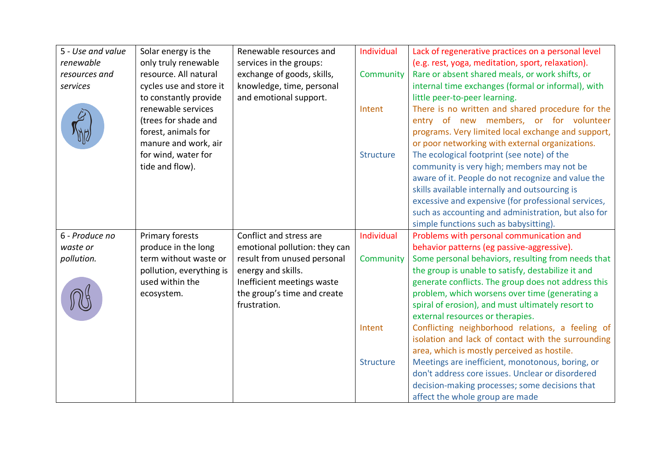| 5 - Use and value | Solar energy is the      | Renewable resources and       | Individual       | Lack of regenerative practices on a personal level  |
|-------------------|--------------------------|-------------------------------|------------------|-----------------------------------------------------|
| renewable         | only truly renewable     | services in the groups:       |                  | (e.g. rest, yoga, meditation, sport, relaxation).   |
| resources and     | resource. All natural    | exchange of goods, skills,    | Community        | Rare or absent shared meals, or work shifts, or     |
| services          | cycles use and store it  | knowledge, time, personal     |                  | internal time exchanges (formal or informal), with  |
|                   | to constantly provide    | and emotional support.        |                  | little peer-to-peer learning.                       |
|                   | renewable services       |                               | Intent           | There is no written and shared procedure for the    |
|                   | (trees for shade and     |                               |                  | entry of new members, or for volunteer              |
|                   | forest, animals for      |                               |                  | programs. Very limited local exchange and support,  |
|                   | manure and work, air     |                               |                  | or poor networking with external organizations.     |
|                   | for wind, water for      |                               | <b>Structure</b> | The ecological footprint (see note) of the          |
|                   | tide and flow).          |                               |                  | community is very high; members may not be          |
|                   |                          |                               |                  | aware of it. People do not recognize and value the  |
|                   |                          |                               |                  | skills available internally and outsourcing is      |
|                   |                          |                               |                  | excessive and expensive (for professional services, |
|                   |                          |                               |                  | such as accounting and administration, but also for |
|                   |                          |                               |                  | simple functions such as babysitting).              |
| 6 - Produce no    | Primary forests          | Conflict and stress are       | Individual       | Problems with personal communication and            |
| waste or          | produce in the long      | emotional pollution: they can |                  | behavior patterns (eg passive-aggressive).          |
| pollution.        | term without waste or    | result from unused personal   | Community        | Some personal behaviors, resulting from needs that  |
|                   | pollution, everything is | energy and skills.            |                  | the group is unable to satisfy, destabilize it and  |
|                   | used within the          | Inefficient meetings waste    |                  | generate conflicts. The group does not address this |
|                   | ecosystem.               | the group's time and create   |                  | problem, which worsens over time (generating a      |
|                   |                          | frustration.                  |                  | spiral of erosion), and must ultimately resort to   |
|                   |                          |                               |                  | external resources or therapies.                    |
|                   |                          |                               | Intent           | Conflicting neighborhood relations, a feeling of    |
|                   |                          |                               |                  | isolation and lack of contact with the surrounding  |
|                   |                          |                               |                  | area, which is mostly perceived as hostile.         |
|                   |                          |                               | <b>Structure</b> | Meetings are inefficient, monotonous, boring, or    |
|                   |                          |                               |                  | don't address core issues. Unclear or disordered    |
|                   |                          |                               |                  | decision-making processes; some decisions that      |
|                   |                          |                               |                  | affect the whole group are made                     |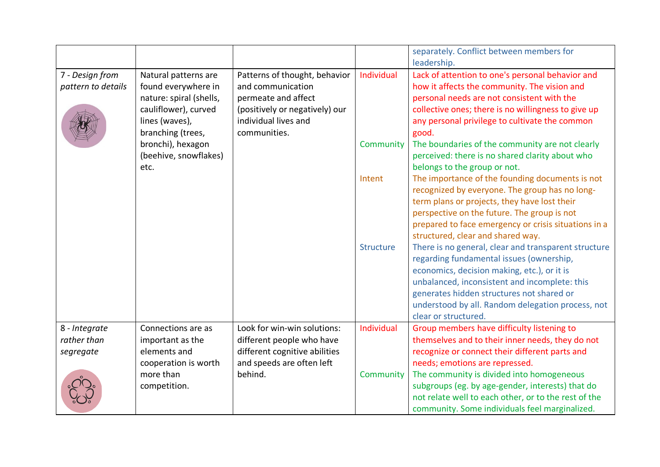|                    |                         |                                |                  | separately. Conflict between members for<br>leadership. |
|--------------------|-------------------------|--------------------------------|------------------|---------------------------------------------------------|
|                    |                         |                                |                  |                                                         |
| 7 - Design from    | Natural patterns are    | Patterns of thought, behavior  | Individual       | Lack of attention to one's personal behavior and        |
| pattern to details | found everywhere in     | and communication              |                  | how it affects the community. The vision and            |
|                    | nature: spiral (shells, | permeate and affect            |                  | personal needs are not consistent with the              |
|                    | cauliflower), curved    | (positively or negatively) our |                  | collective ones; there is no willingness to give up     |
|                    | lines (waves),          | individual lives and           |                  | any personal privilege to cultivate the common          |
|                    | branching (trees,       | communities.                   |                  | good.                                                   |
|                    | bronchi), hexagon       |                                | Community        | The boundaries of the community are not clearly         |
|                    | (beehive, snowflakes)   |                                |                  | perceived: there is no shared clarity about who         |
|                    | etc.                    |                                |                  | belongs to the group or not.                            |
|                    |                         |                                | Intent           | The importance of the founding documents is not         |
|                    |                         |                                |                  | recognized by everyone. The group has no long-          |
|                    |                         |                                |                  | term plans or projects, they have lost their            |
|                    |                         |                                |                  | perspective on the future. The group is not             |
|                    |                         |                                |                  | prepared to face emergency or crisis situations in a    |
|                    |                         |                                |                  | structured, clear and shared way.                       |
|                    |                         |                                | <b>Structure</b> | There is no general, clear and transparent structure    |
|                    |                         |                                |                  | regarding fundamental issues (ownership,                |
|                    |                         |                                |                  | economics, decision making, etc.), or it is             |
|                    |                         |                                |                  | unbalanced, inconsistent and incomplete: this           |
|                    |                         |                                |                  | generates hidden structures not shared or               |
|                    |                         |                                |                  | understood by all. Random delegation process, not       |
|                    |                         |                                |                  | clear or structured.                                    |
| 8 - Integrate      | Connections are as      | Look for win-win solutions:    | Individual       | Group members have difficulty listening to              |
| rather than        | important as the        | different people who have      |                  | themselves and to their inner needs, they do not        |
|                    | elements and            | different cognitive abilities  |                  | recognize or connect their different parts and          |
| segregate          | cooperation is worth    | and speeds are often left      |                  | needs; emotions are repressed.                          |
|                    | more than               | behind.                        |                  |                                                         |
|                    |                         |                                | Community        | The community is divided into homogeneous               |
|                    | competition.            |                                |                  | subgroups (eg. by age-gender, interests) that do        |
|                    |                         |                                |                  | not relate well to each other, or to the rest of the    |
|                    |                         |                                |                  | community. Some individuals feel marginalized.          |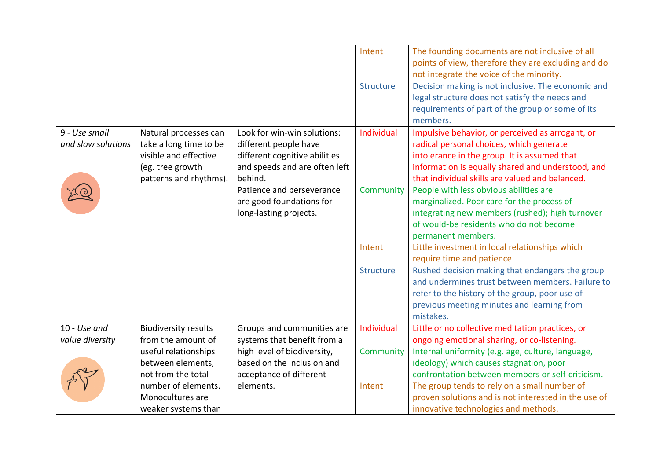|                    |                             |                               | Intent           | The founding documents are not inclusive of all      |
|--------------------|-----------------------------|-------------------------------|------------------|------------------------------------------------------|
|                    |                             |                               |                  | points of view, therefore they are excluding and do  |
|                    |                             |                               |                  | not integrate the voice of the minority.             |
|                    |                             |                               | <b>Structure</b> | Decision making is not inclusive. The economic and   |
|                    |                             |                               |                  | legal structure does not satisfy the needs and       |
|                    |                             |                               |                  | requirements of part of the group or some of its     |
|                    |                             |                               |                  | members.                                             |
| 9 - Use small      | Natural processes can       | Look for win-win solutions:   | Individual       | Impulsive behavior, or perceived as arrogant, or     |
| and slow solutions | take a long time to be      | different people have         |                  | radical personal choices, which generate             |
|                    | visible and effective       | different cognitive abilities |                  | intolerance in the group. It is assumed that         |
|                    | (eg. tree growth            | and speeds and are often left |                  | information is equally shared and understood, and    |
|                    | patterns and rhythms).      | behind.                       |                  | that individual skills are valued and balanced.      |
|                    |                             | Patience and perseverance     | Community        | People with less obvious abilities are               |
|                    |                             | are good foundations for      |                  | marginalized. Poor care for the process of           |
|                    |                             | long-lasting projects.        |                  | integrating new members (rushed); high turnover      |
|                    |                             |                               |                  | of would-be residents who do not become              |
|                    |                             |                               |                  | permanent members.                                   |
|                    |                             |                               | Intent           | Little investment in local relationships which       |
|                    |                             |                               |                  | require time and patience.                           |
|                    |                             |                               | <b>Structure</b> | Rushed decision making that endangers the group      |
|                    |                             |                               |                  | and undermines trust between members. Failure to     |
|                    |                             |                               |                  | refer to the history of the group, poor use of       |
|                    |                             |                               |                  | previous meeting minutes and learning from           |
|                    |                             |                               |                  | mistakes.                                            |
| 10 - Use and       | <b>Biodiversity results</b> | Groups and communities are    | Individual       | Little or no collective meditation practices, or     |
| value diversity    | from the amount of          | systems that benefit from a   |                  | ongoing emotional sharing, or co-listening.          |
|                    | useful relationships        | high level of biodiversity,   | Community        | Internal uniformity (e.g. age, culture, language,    |
|                    | between elements,           | based on the inclusion and    |                  | ideology) which causes stagnation, poor              |
|                    | not from the total          | acceptance of different       |                  | confrontation between members or self-criticism.     |
|                    | number of elements.         | elements.                     | Intent           | The group tends to rely on a small number of         |
|                    | Monocultures are            |                               |                  | proven solutions and is not interested in the use of |
|                    | weaker systems than         |                               |                  | innovative technologies and methods.                 |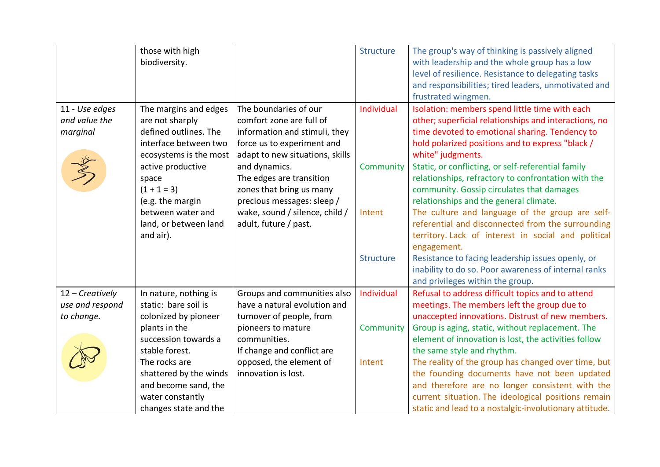|                   | those with high<br>biodiversity. |                                 | <b>Structure</b> | The group's way of thinking is passively aligned<br>with leadership and the whole group has a low<br>level of resilience. Resistance to delegating tasks<br>and responsibilities; tired leaders, unmotivated and<br>frustrated wingmen. |
|-------------------|----------------------------------|---------------------------------|------------------|-----------------------------------------------------------------------------------------------------------------------------------------------------------------------------------------------------------------------------------------|
| 11 - Use edges    | The margins and edges            | The boundaries of our           | Individual       | Isolation: members spend little time with each                                                                                                                                                                                          |
| and value the     | are not sharply                  | comfort zone are full of        |                  | other; superficial relationships and interactions, no                                                                                                                                                                                   |
| marginal          | defined outlines. The            | information and stimuli, they   |                  | time devoted to emotional sharing. Tendency to                                                                                                                                                                                          |
|                   | interface between two            | force us to experiment and      |                  | hold polarized positions and to express "black /                                                                                                                                                                                        |
|                   | ecosystems is the most           | adapt to new situations, skills |                  | white" judgments.                                                                                                                                                                                                                       |
|                   | active productive                | and dynamics.                   | Community        | Static, or conflicting, or self-referential family                                                                                                                                                                                      |
|                   | space                            | The edges are transition        |                  | relationships, refractory to confrontation with the                                                                                                                                                                                     |
|                   | $(1 + 1 = 3)$                    | zones that bring us many        |                  | community. Gossip circulates that damages                                                                                                                                                                                               |
|                   | (e.g. the margin                 | precious messages: sleep /      |                  | relationships and the general climate.                                                                                                                                                                                                  |
|                   | between water and                | wake, sound / silence, child /  | Intent           | The culture and language of the group are self-                                                                                                                                                                                         |
|                   | land, or between land            | adult, future / past.           |                  | referential and disconnected from the surrounding                                                                                                                                                                                       |
|                   | and air).                        |                                 |                  | territory. Lack of interest in social and political                                                                                                                                                                                     |
|                   |                                  |                                 |                  | engagement.                                                                                                                                                                                                                             |
|                   |                                  |                                 | <b>Structure</b> | Resistance to facing leadership issues openly, or                                                                                                                                                                                       |
|                   |                                  |                                 |                  | inability to do so. Poor awareness of internal ranks                                                                                                                                                                                    |
|                   |                                  |                                 |                  | and privileges within the group.                                                                                                                                                                                                        |
| $12$ – Creatively | In nature, nothing is            | Groups and communities also     | Individual       | Refusal to address difficult topics and to attend                                                                                                                                                                                       |
| use and respond   | static: bare soil is             | have a natural evolution and    |                  | meetings. The members left the group due to                                                                                                                                                                                             |
| to change.        | colonized by pioneer             | turnover of people, from        |                  | unaccepted innovations. Distrust of new members.                                                                                                                                                                                        |
|                   | plants in the                    | pioneers to mature              | Community        | Group is aging, static, without replacement. The                                                                                                                                                                                        |
|                   | succession towards a             | communities.                    |                  | element of innovation is lost, the activities follow                                                                                                                                                                                    |
|                   | stable forest.                   | If change and conflict are      |                  | the same style and rhythm.                                                                                                                                                                                                              |
|                   | The rocks are                    | opposed, the element of         | Intent           | The reality of the group has changed over time, but                                                                                                                                                                                     |
|                   | shattered by the winds           | innovation is lost.             |                  | the founding documents have not been updated                                                                                                                                                                                            |
|                   | and become sand, the             |                                 |                  | and therefore are no longer consistent with the                                                                                                                                                                                         |
|                   | water constantly                 |                                 |                  | current situation. The ideological positions remain                                                                                                                                                                                     |
|                   | changes state and the            |                                 |                  | static and lead to a nostalgic-involutionary attitude.                                                                                                                                                                                  |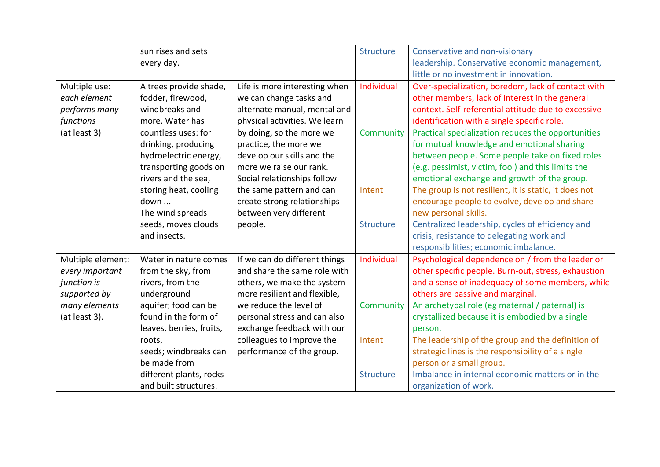|                   | sun rises and sets       |                               | <b>Structure</b> | Conservative and non-visionary                        |
|-------------------|--------------------------|-------------------------------|------------------|-------------------------------------------------------|
|                   | every day.               |                               |                  | leadership. Conservative economic management,         |
|                   |                          |                               |                  | little or no investment in innovation.                |
| Multiple use:     | A trees provide shade,   | Life is more interesting when | Individual       | Over-specialization, boredom, lack of contact with    |
| each element      | fodder, firewood,        | we can change tasks and       |                  | other members, lack of interest in the general        |
| performs many     | windbreaks and           | alternate manual, mental and  |                  | context. Self-referential attitude due to excessive   |
| functions         | more. Water has          | physical activities. We learn |                  | identification with a single specific role.           |
| (at least 3)      | countless uses: for      | by doing, so the more we      | Community        | Practical specialization reduces the opportunities    |
|                   | drinking, producing      | practice, the more we         |                  | for mutual knowledge and emotional sharing            |
|                   | hydroelectric energy,    | develop our skills and the    |                  | between people. Some people take on fixed roles       |
|                   | transporting goods on    | more we raise our rank.       |                  | (e.g. pessimist, victim, fool) and this limits the    |
|                   | rivers and the sea,      | Social relationships follow   |                  | emotional exchange and growth of the group.           |
|                   | storing heat, cooling    | the same pattern and can      | Intent           | The group is not resilient, it is static, it does not |
|                   | down                     | create strong relationships   |                  | encourage people to evolve, develop and share         |
|                   | The wind spreads         | between very different        |                  | new personal skills.                                  |
|                   | seeds, moves clouds      | people.                       | <b>Structure</b> | Centralized leadership, cycles of efficiency and      |
|                   | and insects.             |                               |                  | crisis, resistance to delegating work and             |
|                   |                          |                               |                  | responsibilities; economic imbalance.                 |
| Multiple element: | Water in nature comes    | If we can do different things | Individual       | Psychological dependence on / from the leader or      |
| every important   | from the sky, from       | and share the same role with  |                  | other specific people. Burn-out, stress, exhaustion   |
| function is       | rivers, from the         | others, we make the system    |                  | and a sense of inadequacy of some members, while      |
| supported by      | underground              | more resilient and flexible,  |                  | others are passive and marginal.                      |
| many elements     | aquifer; food can be     | we reduce the level of        | Community        | An archetypal role (eg maternal / paternal) is        |
| (at least 3).     | found in the form of     | personal stress and can also  |                  | crystallized because it is embodied by a single       |
|                   | leaves, berries, fruits, | exchange feedback with our    |                  | person.                                               |
|                   | roots,                   | colleagues to improve the     | Intent           | The leadership of the group and the definition of     |
|                   | seeds; windbreaks can    | performance of the group.     |                  | strategic lines is the responsibility of a single     |
|                   | be made from             |                               |                  | person or a small group.                              |
|                   | different plants, rocks  |                               | <b>Structure</b> | Imbalance in internal economic matters or in the      |
|                   | and built structures.    |                               |                  | organization of work.                                 |